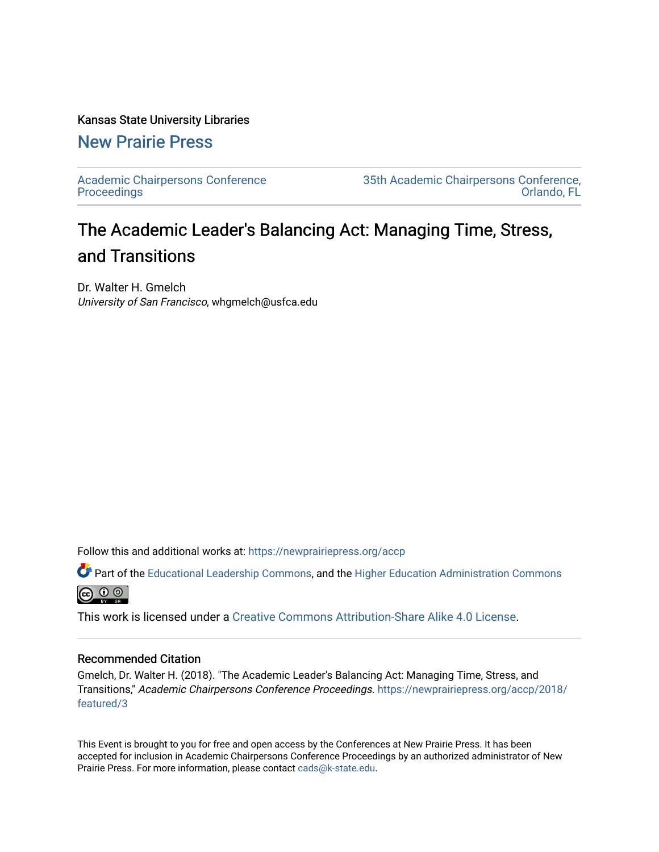#### Kansas State University Libraries

### [New Prairie Press](https://newprairiepress.org/)

[Academic Chairpersons Conference](https://newprairiepress.org/accp)  **Proceedings** 

[35th Academic Chairpersons Conference,](https://newprairiepress.org/accp/2018)  [Orlando, FL](https://newprairiepress.org/accp/2018) 

# The Academic Leader's Balancing Act: Managing Time, Stress, and Transitions

Dr. Walter H. Gmelch University of San Francisco, whgmelch@usfca.edu

Follow this and additional works at: [https://newprairiepress.org/accp](https://newprairiepress.org/accp?utm_source=newprairiepress.org%2Faccp%2F2018%2Ffeatured%2F3&utm_medium=PDF&utm_campaign=PDFCoverPages) 

Part of the [Educational Leadership Commons,](http://network.bepress.com/hgg/discipline/1230?utm_source=newprairiepress.org%2Faccp%2F2018%2Ffeatured%2F3&utm_medium=PDF&utm_campaign=PDFCoverPages) and the [Higher Education Administration Commons](http://network.bepress.com/hgg/discipline/791?utm_source=newprairiepress.org%2Faccp%2F2018%2Ffeatured%2F3&utm_medium=PDF&utm_campaign=PDFCoverPages) **@** ⊙ ⊚

This work is licensed under a [Creative Commons Attribution-Share Alike 4.0 License.](https://creativecommons.org/licenses/by-sa/4.0/)

#### Recommended Citation

Gmelch, Dr. Walter H. (2018). "The Academic Leader's Balancing Act: Managing Time, Stress, and Transitions," Academic Chairpersons Conference Proceedings. [https://newprairiepress.org/accp/2018/](https://newprairiepress.org/accp/2018/featured/3) [featured/3](https://newprairiepress.org/accp/2018/featured/3) 

This Event is brought to you for free and open access by the Conferences at New Prairie Press. It has been accepted for inclusion in Academic Chairpersons Conference Proceedings by an authorized administrator of New Prairie Press. For more information, please contact [cads@k-state.edu.](mailto:cads@k-state.edu)